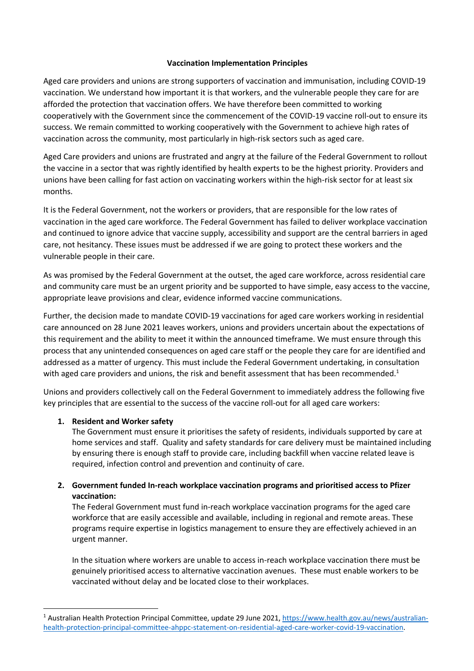## **Vaccination Implementation Principles**

Aged care providers and unions are strong supporters of vaccination and immunisation, including COVID-19 vaccination. We understand how important it is that workers, and the vulnerable people they care for are afforded the protection that vaccination offers. We have therefore been committed to working cooperatively with the Government since the commencement of the COVID-19 vaccine roll-out to ensure its success. We remain committed to working cooperatively with the Government to achieve high rates of vaccination across the community, most particularly in high-risk sectors such as aged care.

Aged Care providers and unions are frustrated and angry at the failure of the Federal Government to rollout the vaccine in a sector that was rightly identified by health experts to be the highest priority. Providers and unions have been calling for fast action on vaccinating workers within the high-risk sector for at least six months.

It is the Federal Government, not the workers or providers, that are responsible for the low rates of vaccination in the aged care workforce. The Federal Government has failed to deliver workplace vaccination and continued to ignore advice that vaccine supply, accessibility and support are the central barriers in aged care, not hesitancy. These issues must be addressed if we are going to protect these workers and the vulnerable people in their care.

As was promised by the Federal Government at the outset, the aged care workforce, across residential care and community care must be an urgent priority and be supported to have simple, easy access to the vaccine, appropriate leave provisions and clear, evidence informed vaccine communications.

Further, the decision made to mandate COVID-19 vaccinations for aged care workers working in residential care announced on 28 June 2021 leaves workers, unions and providers uncertain about the expectations of this requirement and the ability to meet it within the announced timeframe. We must ensure through this process that any unintended consequences on aged care staff or the people they care for are identified and addressed as a matter of urgency. This must include the Federal Government undertaking, in consultation with aged care providers and unions, the risk and benefit assessment that has been recommended.<sup>1</sup>

Unions and providers collectively call on the Federal Government to immediately address the following five key principles that are essential to the success of the vaccine roll-out for all aged care workers:

# **1. Resident and Worker safety**

The Government must ensure it prioritises the safety of residents, individuals supported by care at home services and staff. Quality and safety standards for care delivery must be maintained including by ensuring there is enough staff to provide care, including backfill when vaccine related leave is required, infection control and prevention and continuity of care.

# **2. Government funded In-reach workplace vaccination programs and prioritised access to Pfizer vaccination:**

The Federal Government must fund in-reach workplace vaccination programs for the aged care workforce that are easily accessible and available, including in regional and remote areas. These programs require expertise in logistics management to ensure they are effectively achieved in an urgent manner.

In the situation where workers are unable to access in-reach workplace vaccination there must be genuinely prioritised access to alternative vaccination avenues. These must enable workers to be vaccinated without delay and be located close to their workplaces.

<sup>&</sup>lt;sup>1</sup> Australian Health Protection Principal Committee, update 29 June 2021, https://www.health.gov.au/news/australianhealth-protection-principal-committee-ahppc-statement-on-residential-aged-care-worker-covid-19-vaccination.